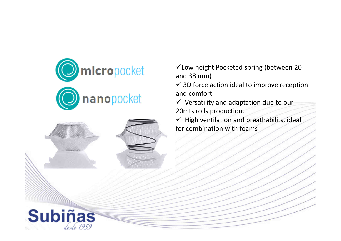



Low height Pocketed spring (between 20 and 38 mm)

 $\checkmark$  3D force action ideal to improve reception and comfort

 $\checkmark$  Versatility and adaptation due to our 20mts rolls production.

 $\checkmark$  High ventilation and breathability, ideal for combination with foams

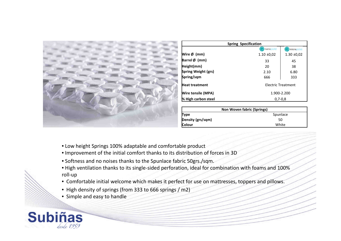| Wire Ø (mm)                              |                 | <b>Spring Specification</b> |  |  |  |  |
|------------------------------------------|-----------------|-----------------------------|--|--|--|--|
|                                          | nanopocket      | micropocket                 |  |  |  |  |
|                                          | $1.10 \pm 0.02$ | $1.30 \pm 0.02$             |  |  |  |  |
| Barrel Ø (mm)                            | 33              | 45                          |  |  |  |  |
| Height(mm)                               | 20              | 38                          |  |  |  |  |
| Spring Weight (grs)                      | 2.10            | 6.80                        |  |  |  |  |
| Spring/sqm                               | 666             | 333                         |  |  |  |  |
| Electric Treatment<br>Heat treatment     |                 |                             |  |  |  |  |
| <b>Wire tensile (MPA)</b><br>1.900-2.200 |                 |                             |  |  |  |  |
| % High carbon steel                      | $0.7 - 0.8$     |                             |  |  |  |  |

| Non Woven fabric (Springs) |          |  |  |  |
|----------------------------|----------|--|--|--|
| Type                       | Spunlace |  |  |  |
| Density (grs/sqm)          | 50       |  |  |  |
| <b>Colour</b>              | White    |  |  |  |

- Low height Springs 100% adaptable and comfortable product
- Improvement of the initial comfort thanks to its distribution of forces in 3D
- Softness and no noises thanks to the Spunlace fabric 50grs./sqm.
- High ventilation thanks to its single-sided perforation, ideal for combination with foams and 100% roll-up
- Comfortable initial welcome which makes it perfect for use on mattresses, toppers and pillows.
- High density of springs (from 333 to 666 springs / m2)
- Simple and easy to handle